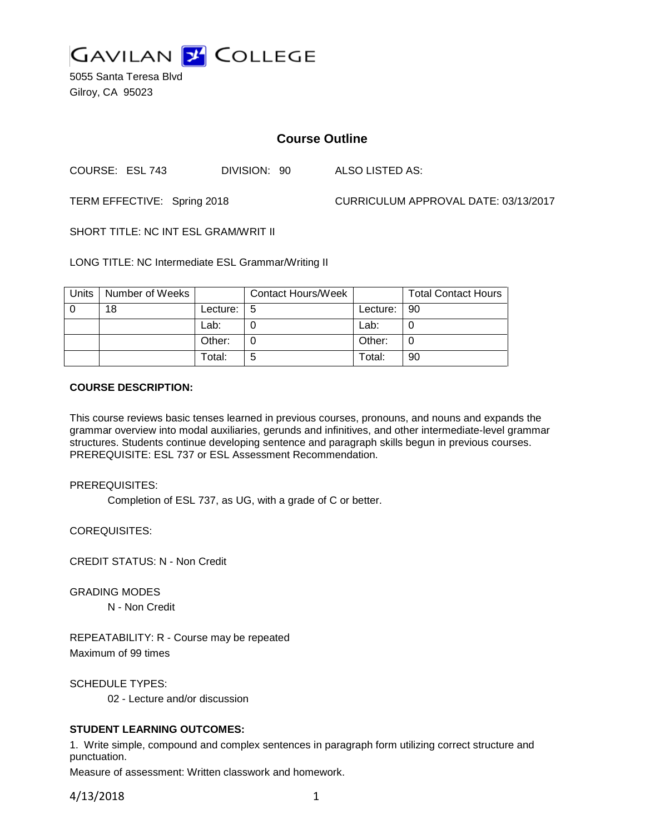

5055 Santa Teresa Blvd Gilroy, CA 95023

# **Course Outline**

COURSE: ESL 743 DIVISION: 90 ALSO LISTED AS:

TERM EFFECTIVE: Spring 2018 CURRICULUM APPROVAL DATE: 03/13/2017

SHORT TITLE: NC INT ESL GRAM/WRIT II

LONG TITLE: NC Intermediate ESL Grammar/Writing II

| Units | Number of Weeks |          | <b>Contact Hours/Week</b> |          | <b>Total Contact Hours</b> |
|-------|-----------------|----------|---------------------------|----------|----------------------------|
|       | 18              | Lecture: | -5                        | Lecture: | l 90                       |
|       |                 | Lab:     |                           | Lab:     |                            |
|       |                 | Other:   |                           | Other:   |                            |
|       |                 | Total:   | 5                         | Total:   | 90                         |

#### **COURSE DESCRIPTION:**

This course reviews basic tenses learned in previous courses, pronouns, and nouns and expands the grammar overview into modal auxiliaries, gerunds and infinitives, and other intermediate-level grammar structures. Students continue developing sentence and paragraph skills begun in previous courses. PREREQUISITE: ESL 737 or ESL Assessment Recommendation.

PREREQUISITES:

Completion of ESL 737, as UG, with a grade of C or better.

COREQUISITES:

CREDIT STATUS: N - Non Credit

GRADING MODES

N - Non Credit

REPEATABILITY: R - Course may be repeated Maximum of 99 times

SCHEDULE TYPES:

02 - Lecture and/or discussion

### **STUDENT LEARNING OUTCOMES:**

1. Write simple, compound and complex sentences in paragraph form utilizing correct structure and punctuation.

Measure of assessment: Written classwork and homework.

4/13/2018 1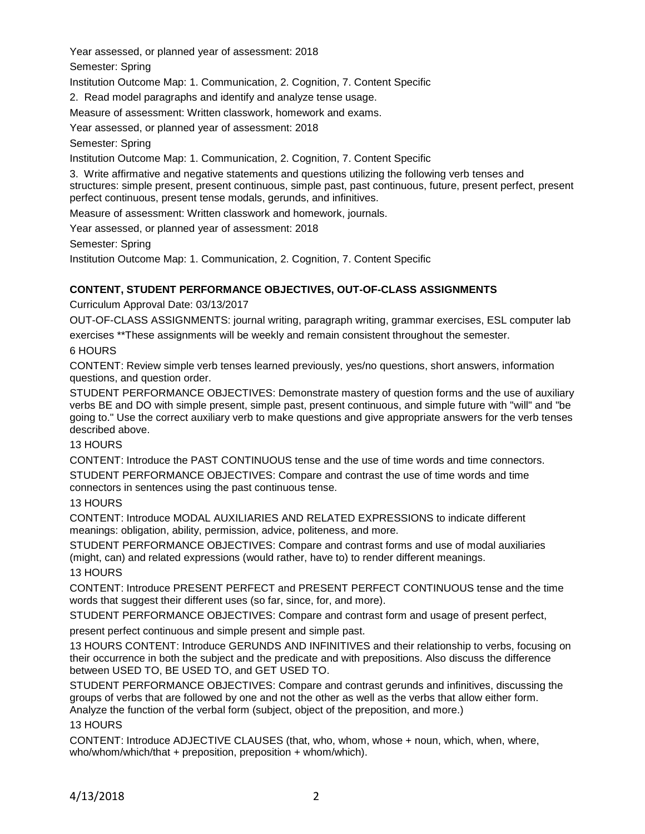Year assessed, or planned year of assessment: 2018

Semester: Spring

Institution Outcome Map: 1. Communication, 2. Cognition, 7. Content Specific

2. Read model paragraphs and identify and analyze tense usage.

Measure of assessment: Written classwork, homework and exams.

Year assessed, or planned year of assessment: 2018

Semester: Spring

Institution Outcome Map: 1. Communication, 2. Cognition, 7. Content Specific

3. Write affirmative and negative statements and questions utilizing the following verb tenses and structures: simple present, present continuous, simple past, past continuous, future, present perfect, present perfect continuous, present tense modals, gerunds, and infinitives.

Measure of assessment: Written classwork and homework, journals.

Year assessed, or planned year of assessment: 2018

Semester: Spring

Institution Outcome Map: 1. Communication, 2. Cognition, 7. Content Specific

## **CONTENT, STUDENT PERFORMANCE OBJECTIVES, OUT-OF-CLASS ASSIGNMENTS**

Curriculum Approval Date: 03/13/2017

OUT-OF-CLASS ASSIGNMENTS: journal writing, paragraph writing, grammar exercises, ESL computer lab exercises \*\*These assignments will be weekly and remain consistent throughout the semester.

### 6 HOURS

CONTENT: Review simple verb tenses learned previously, yes/no questions, short answers, information questions, and question order.

STUDENT PERFORMANCE OBJECTIVES: Demonstrate mastery of question forms and the use of auxiliary verbs BE and DO with simple present, simple past, present continuous, and simple future with "will" and "be going to." Use the correct auxiliary verb to make questions and give appropriate answers for the verb tenses described above.

### 13 HOURS

CONTENT: Introduce the PAST CONTINUOUS tense and the use of time words and time connectors.

STUDENT PERFORMANCE OBJECTIVES: Compare and contrast the use of time words and time connectors in sentences using the past continuous tense.

### 13 HOURS

CONTENT: Introduce MODAL AUXILIARIES AND RELATED EXPRESSIONS to indicate different meanings: obligation, ability, permission, advice, politeness, and more.

STUDENT PERFORMANCE OBJECTIVES: Compare and contrast forms and use of modal auxiliaries (might, can) and related expressions (would rather, have to) to render different meanings.

### 13 HOURS

CONTENT: Introduce PRESENT PERFECT and PRESENT PERFECT CONTINUOUS tense and the time words that suggest their different uses (so far, since, for, and more).

STUDENT PERFORMANCE OBJECTIVES: Compare and contrast form and usage of present perfect,

present perfect continuous and simple present and simple past.

13 HOURS CONTENT: Introduce GERUNDS AND INFINITIVES and their relationship to verbs, focusing on their occurrence in both the subject and the predicate and with prepositions. Also discuss the difference between USED TO, BE USED TO, and GET USED TO.

STUDENT PERFORMANCE OBJECTIVES: Compare and contrast gerunds and infinitives, discussing the groups of verbs that are followed by one and not the other as well as the verbs that allow either form. Analyze the function of the verbal form (subject, object of the preposition, and more.)

### 13 HOURS

CONTENT: Introduce ADJECTIVE CLAUSES (that, who, whom, whose + noun, which, when, where, who/whom/which/that + preposition, preposition + whom/which).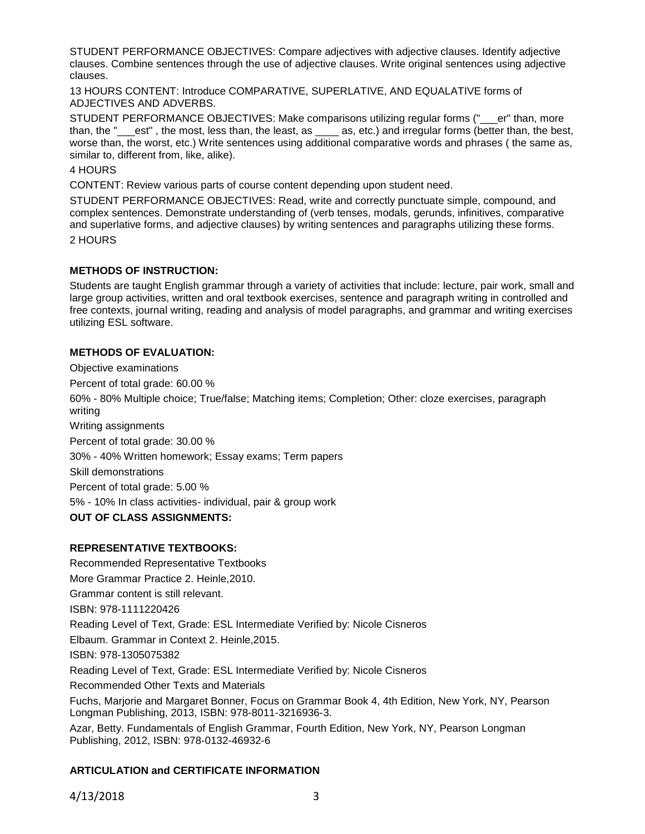STUDENT PERFORMANCE OBJECTIVES: Compare adjectives with adjective clauses. Identify adjective clauses. Combine sentences through the use of adjective clauses. Write original sentences using adjective clauses.

13 HOURS CONTENT: Introduce COMPARATIVE, SUPERLATIVE, AND EQUALATIVE forms of ADJECTIVES AND ADVERBS.

STUDENT PERFORMANCE OBJECTIVES: Make comparisons utilizing regular forms ("\_\_\_er" than, more than, the "\_\_\_est" , the most, less than, the least, as \_\_\_\_ as, etc.) and irregular forms (better than, the best, worse than, the worst, etc.) Write sentences using additional comparative words and phrases (the same as, similar to, different from, like, alike).

4 HOURS

CONTENT: Review various parts of course content depending upon student need.

STUDENT PERFORMANCE OBJECTIVES: Read, write and correctly punctuate simple, compound, and complex sentences. Demonstrate understanding of (verb tenses, modals, gerunds, infinitives, comparative and superlative forms, and adjective clauses) by writing sentences and paragraphs utilizing these forms.

2 HOURS

## **METHODS OF INSTRUCTION:**

Students are taught English grammar through a variety of activities that include: lecture, pair work, small and large group activities, written and oral textbook exercises, sentence and paragraph writing in controlled and free contexts, journal writing, reading and analysis of model paragraphs, and grammar and writing exercises utilizing ESL software.

### **METHODS OF EVALUATION:**

Objective examinations Percent of total grade: 60.00 % 60% - 80% Multiple choice; True/false; Matching items; Completion; Other: cloze exercises, paragraph writing Writing assignments Percent of total grade: 30.00 % 30% - 40% Written homework; Essay exams; Term papers Skill demonstrations Percent of total grade: 5.00 % 5% - 10% In class activities- individual, pair & group work **OUT OF CLASS ASSIGNMENTS:**

### **REPRESENTATIVE TEXTBOOKS:**

Recommended Representative Textbooks More Grammar Practice 2. Heinle,2010. Grammar content is still relevant. ISBN: 978-1111220426 Reading Level of Text, Grade: ESL Intermediate Verified by: Nicole Cisneros Elbaum. Grammar in Context 2. Heinle,2015. ISBN: 978-1305075382 Reading Level of Text, Grade: ESL Intermediate Verified by: Nicole Cisneros Recommended Other Texts and Materials Fuchs, Marjorie and Margaret Bonner, Focus on Grammar Book 4, 4th Edition, New York, NY, Pearson Longman Publishing, 2013, ISBN: 978-8011-3216936-3.

Azar, Betty. Fundamentals of English Grammar, Fourth Edition, New York, NY, Pearson Longman Publishing, 2012, ISBN: 978-0132-46932-6

## **ARTICULATION and CERTIFICATE INFORMATION**